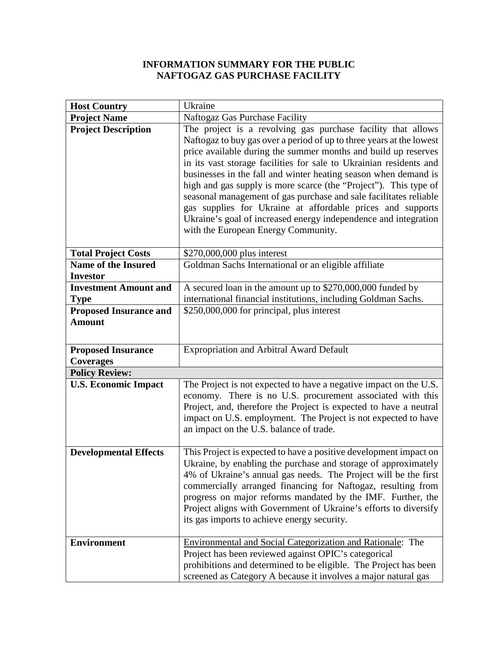## **INFORMATION SUMMARY FOR THE PUBLIC NAFTOGAZ GAS PURCHASE FACILITY**

| <b>Host Country</b>                                      | Ukraine                                                                                                                                                                                                                                                                                                                                                                                                                                                                                                                                                                                                                                                          |
|----------------------------------------------------------|------------------------------------------------------------------------------------------------------------------------------------------------------------------------------------------------------------------------------------------------------------------------------------------------------------------------------------------------------------------------------------------------------------------------------------------------------------------------------------------------------------------------------------------------------------------------------------------------------------------------------------------------------------------|
| <b>Project Name</b>                                      | Naftogaz Gas Purchase Facility                                                                                                                                                                                                                                                                                                                                                                                                                                                                                                                                                                                                                                   |
| <b>Project Description</b>                               | The project is a revolving gas purchase facility that allows<br>Naftogaz to buy gas over a period of up to three years at the lowest<br>price available during the summer months and build up reserves<br>in its vast storage facilities for sale to Ukrainian residents and<br>businesses in the fall and winter heating season when demand is<br>high and gas supply is more scarce (the "Project"). This type of<br>seasonal management of gas purchase and sale facilitates reliable<br>gas supplies for Ukraine at affordable prices and supports<br>Ukraine's goal of increased energy independence and integration<br>with the European Energy Community. |
| <b>Total Project Costs</b><br><b>Name of the Insured</b> | \$270,000,000 plus interest<br>Goldman Sachs International or an eligible affiliate                                                                                                                                                                                                                                                                                                                                                                                                                                                                                                                                                                              |
| <b>Investor</b>                                          |                                                                                                                                                                                                                                                                                                                                                                                                                                                                                                                                                                                                                                                                  |
| <b>Investment Amount and</b>                             | A secured loan in the amount up to \$270,000,000 funded by                                                                                                                                                                                                                                                                                                                                                                                                                                                                                                                                                                                                       |
| <b>Type</b>                                              | international financial institutions, including Goldman Sachs.                                                                                                                                                                                                                                                                                                                                                                                                                                                                                                                                                                                                   |
| <b>Proposed Insurance and</b><br><b>Amount</b>           | \$250,000,000 for principal, plus interest                                                                                                                                                                                                                                                                                                                                                                                                                                                                                                                                                                                                                       |
| <b>Proposed Insurance</b><br><b>Coverages</b>            | <b>Expropriation and Arbitral Award Default</b>                                                                                                                                                                                                                                                                                                                                                                                                                                                                                                                                                                                                                  |
| <b>Policy Review:</b>                                    |                                                                                                                                                                                                                                                                                                                                                                                                                                                                                                                                                                                                                                                                  |
| <b>U.S. Economic Impact</b>                              | The Project is not expected to have a negative impact on the U.S.                                                                                                                                                                                                                                                                                                                                                                                                                                                                                                                                                                                                |
|                                                          | economy. There is no U.S. procurement associated with this<br>Project, and, therefore the Project is expected to have a neutral<br>impact on U.S. employment. The Project is not expected to have<br>an impact on the U.S. balance of trade.                                                                                                                                                                                                                                                                                                                                                                                                                     |
| <b>Developmental Effects</b>                             | This Project is expected to have a positive development impact on<br>Ukraine, by enabling the purchase and storage of approximately<br>4% of Ukraine's annual gas needs. The Project will be the first<br>commercially arranged financing for Naftogaz, resulting from<br>progress on major reforms mandated by the IMF. Further, the<br>Project aligns with Government of Ukraine's efforts to diversify<br>its gas imports to achieve energy security.                                                                                                                                                                                                         |
| <b>Environment</b>                                       | Environmental and Social Categorization and Rationale: The<br>Project has been reviewed against OPIC's categorical<br>prohibitions and determined to be eligible. The Project has been<br>screened as Category A because it involves a major natural gas                                                                                                                                                                                                                                                                                                                                                                                                         |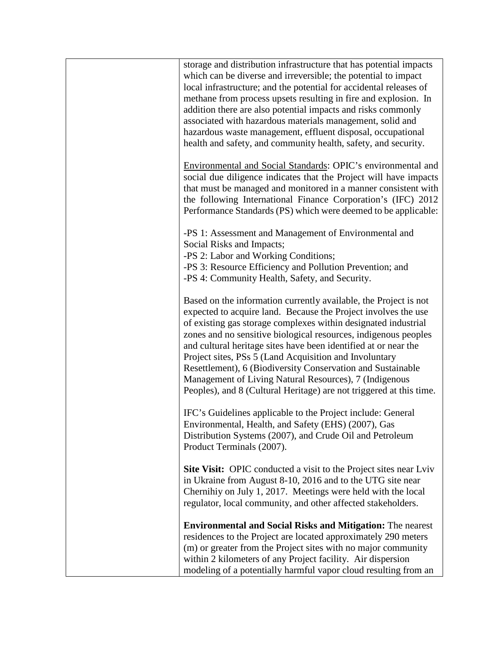| storage and distribution infrastructure that has potential impacts<br>which can be diverse and irreversible; the potential to impact<br>local infrastructure; and the potential for accidental releases of<br>methane from process upsets resulting in fire and explosion. In<br>addition there are also potential impacts and risks commonly<br>associated with hazardous materials management, solid and<br>hazardous waste management, effluent disposal, occupational<br>health and safety, and community health, safety, and security.                                                          |
|------------------------------------------------------------------------------------------------------------------------------------------------------------------------------------------------------------------------------------------------------------------------------------------------------------------------------------------------------------------------------------------------------------------------------------------------------------------------------------------------------------------------------------------------------------------------------------------------------|
| Environmental and Social Standards: OPIC's environmental and<br>social due diligence indicates that the Project will have impacts<br>that must be managed and monitored in a manner consistent with<br>the following International Finance Corporation's (IFC) 2012<br>Performance Standards (PS) which were deemed to be applicable:                                                                                                                                                                                                                                                                |
| -PS 1: Assessment and Management of Environmental and<br>Social Risks and Impacts;<br>-PS 2: Labor and Working Conditions;<br>-PS 3: Resource Efficiency and Pollution Prevention; and<br>-PS 4: Community Health, Safety, and Security.                                                                                                                                                                                                                                                                                                                                                             |
| Based on the information currently available, the Project is not<br>expected to acquire land. Because the Project involves the use<br>of existing gas storage complexes within designated industrial<br>zones and no sensitive biological resources, indigenous peoples<br>and cultural heritage sites have been identified at or near the<br>Project sites, PSs 5 (Land Acquisition and Involuntary<br>Resettlement), 6 (Biodiversity Conservation and Sustainable<br>Management of Living Natural Resources), 7 (Indigenous<br>Peoples), and 8 (Cultural Heritage) are not triggered at this time. |
| IFC's Guidelines applicable to the Project include: General<br>Environmental, Health, and Safety (EHS) (2007), Gas<br>Distribution Systems (2007), and Crude Oil and Petroleum<br>Product Terminals (2007).                                                                                                                                                                                                                                                                                                                                                                                          |
| Site Visit: OPIC conducted a visit to the Project sites near Lviv<br>in Ukraine from August 8-10, 2016 and to the UTG site near<br>Chernihiy on July 1, 2017. Meetings were held with the local<br>regulator, local community, and other affected stakeholders.                                                                                                                                                                                                                                                                                                                                      |
| <b>Environmental and Social Risks and Mitigation:</b> The nearest<br>residences to the Project are located approximately 290 meters<br>(m) or greater from the Project sites with no major community<br>within 2 kilometers of any Project facility. Air dispersion<br>modeling of a potentially harmful vapor cloud resulting from an                                                                                                                                                                                                                                                               |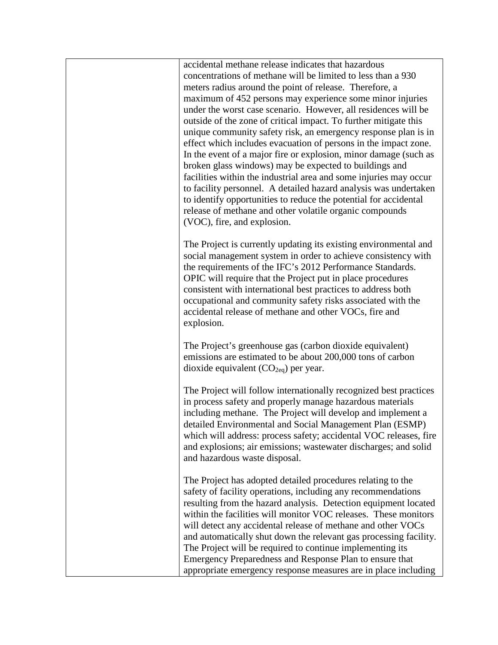| accidental methane release indicates that hazardous<br>concentrations of methane will be limited to less than a 930<br>meters radius around the point of release. Therefore, a<br>maximum of 452 persons may experience some minor injuries<br>under the worst case scenario. However, all residences will be<br>outside of the zone of critical impact. To further mitigate this<br>unique community safety risk, an emergency response plan is in<br>effect which includes evacuation of persons in the impact zone.<br>In the event of a major fire or explosion, minor damage (such as<br>broken glass windows) may be expected to buildings and<br>facilities within the industrial area and some injuries may occur<br>to facility personnel. A detailed hazard analysis was undertaken<br>to identify opportunities to reduce the potential for accidental<br>release of methane and other volatile organic compounds<br>(VOC), fire, and explosion. |
|-------------------------------------------------------------------------------------------------------------------------------------------------------------------------------------------------------------------------------------------------------------------------------------------------------------------------------------------------------------------------------------------------------------------------------------------------------------------------------------------------------------------------------------------------------------------------------------------------------------------------------------------------------------------------------------------------------------------------------------------------------------------------------------------------------------------------------------------------------------------------------------------------------------------------------------------------------------|
| The Project is currently updating its existing environmental and<br>social management system in order to achieve consistency with<br>the requirements of the IFC's 2012 Performance Standards.<br>OPIC will require that the Project put in place procedures<br>consistent with international best practices to address both<br>occupational and community safety risks associated with the<br>accidental release of methane and other VOCs, fire and<br>explosion.                                                                                                                                                                                                                                                                                                                                                                                                                                                                                         |
| The Project's greenhouse gas (carbon dioxide equivalent)<br>emissions are estimated to be about 200,000 tons of carbon<br>dioxide equivalent $(CO_{2eq})$ per year.                                                                                                                                                                                                                                                                                                                                                                                                                                                                                                                                                                                                                                                                                                                                                                                         |
| The Project will follow internationally recognized best practices<br>in process safety and properly manage hazardous materials<br>including methane. The Project will develop and implement a<br>detailed Environmental and Social Management Plan (ESMP)<br>which will address: process safety; accidental VOC releases, fire<br>and explosions; air emissions; wastewater discharges; and solid<br>and hazardous waste disposal.                                                                                                                                                                                                                                                                                                                                                                                                                                                                                                                          |
| The Project has adopted detailed procedures relating to the<br>safety of facility operations, including any recommendations<br>resulting from the hazard analysis. Detection equipment located<br>within the facilities will monitor VOC releases. These monitors<br>will detect any accidental release of methane and other VOCs<br>and automatically shut down the relevant gas processing facility.<br>The Project will be required to continue implementing its<br>Emergency Preparedness and Response Plan to ensure that<br>appropriate emergency response measures are in place including                                                                                                                                                                                                                                                                                                                                                            |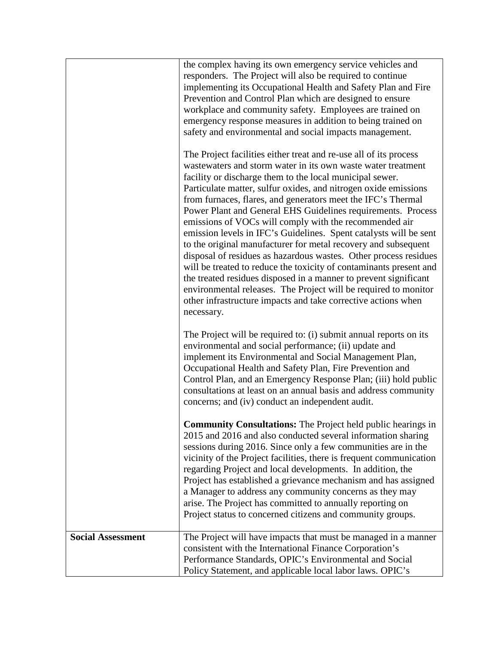|                          | the complex having its own emergency service vehicles and<br>responders. The Project will also be required to continue<br>implementing its Occupational Health and Safety Plan and Fire<br>Prevention and Control Plan which are designed to ensure<br>workplace and community safety. Employees are trained on<br>emergency response measures in addition to being trained on<br>safety and environmental and social impacts management.<br>The Project facilities either treat and re-use all of its process<br>was tewaters and storm water in its own was te water treatment<br>facility or discharge them to the local municipal sewer.<br>Particulate matter, sulfur oxides, and nitrogen oxide emissions<br>from furnaces, flares, and generators meet the IFC's Thermal<br>Power Plant and General EHS Guidelines requirements. Process<br>emissions of VOCs will comply with the recommended air<br>emission levels in IFC's Guidelines. Spent catalysts will be sent<br>to the original manufacturer for metal recovery and subsequent<br>disposal of residues as hazardous wastes. Other process residues<br>will be treated to reduce the toxicity of contaminants present and<br>the treated residues disposed in a manner to prevent significant<br>environmental releases. The Project will be required to monitor<br>other infrastructure impacts and take corrective actions when<br>necessary.<br>The Project will be required to: (i) submit annual reports on its<br>environmental and social performance; (ii) update and<br>implement its Environmental and Social Management Plan,<br>Occupational Health and Safety Plan, Fire Prevention and<br>Control Plan, and an Emergency Response Plan; (iii) hold public<br>consultations at least on an annual basis and address community<br>concerns; and (iv) conduct an independent audit.<br><b>Community Consultations:</b> The Project held public hearings in<br>2015 and 2016 and also conducted several information sharing<br>sessions during 2016. Since only a few communities are in the<br>vicinity of the Project facilities, there is frequent communication<br>regarding Project and local developments. In addition, the<br>Project has established a grievance mechanism and has assigned<br>a Manager to address any community concerns as they may<br>arise. The Project has committed to annually reporting on |
|--------------------------|--------------------------------------------------------------------------------------------------------------------------------------------------------------------------------------------------------------------------------------------------------------------------------------------------------------------------------------------------------------------------------------------------------------------------------------------------------------------------------------------------------------------------------------------------------------------------------------------------------------------------------------------------------------------------------------------------------------------------------------------------------------------------------------------------------------------------------------------------------------------------------------------------------------------------------------------------------------------------------------------------------------------------------------------------------------------------------------------------------------------------------------------------------------------------------------------------------------------------------------------------------------------------------------------------------------------------------------------------------------------------------------------------------------------------------------------------------------------------------------------------------------------------------------------------------------------------------------------------------------------------------------------------------------------------------------------------------------------------------------------------------------------------------------------------------------------------------------------------------------------------------------------------------------------------------------------------------------------------------------------------------------------------------------------------------------------------------------------------------------------------------------------------------------------------------------------------------------------------------------------------------------------------------------------------------------------------------------------------------------------------------------------------------|
| <b>Social Assessment</b> | Project status to concerned citizens and community groups.<br>The Project will have impacts that must be managed in a manner<br>consistent with the International Finance Corporation's                                                                                                                                                                                                                                                                                                                                                                                                                                                                                                                                                                                                                                                                                                                                                                                                                                                                                                                                                                                                                                                                                                                                                                                                                                                                                                                                                                                                                                                                                                                                                                                                                                                                                                                                                                                                                                                                                                                                                                                                                                                                                                                                                                                                                |
|                          | Performance Standards, OPIC's Environmental and Social<br>Policy Statement, and applicable local labor laws. OPIC's                                                                                                                                                                                                                                                                                                                                                                                                                                                                                                                                                                                                                                                                                                                                                                                                                                                                                                                                                                                                                                                                                                                                                                                                                                                                                                                                                                                                                                                                                                                                                                                                                                                                                                                                                                                                                                                                                                                                                                                                                                                                                                                                                                                                                                                                                    |